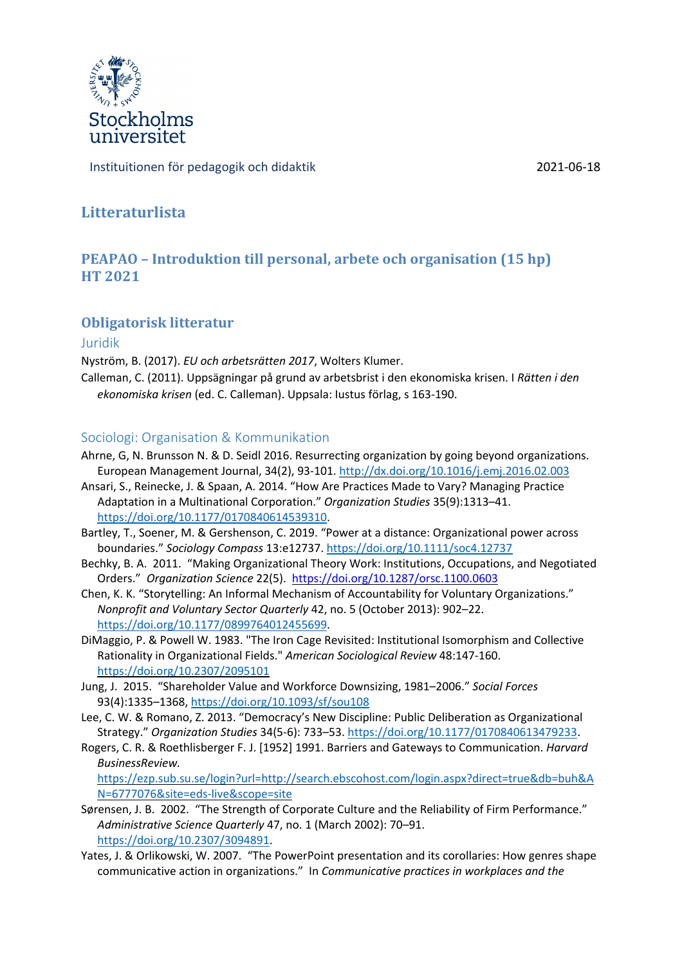

Instituitionen för pedagogik och didaktik 2021-06-18

# **Litteraturlista**

# **PEAPAO – Introduktion till personal, arbete och organisation (15 hp) HT 2021**

## **Obligatorisk litteratur**

### Juridik

Nyström, B. (2017). *EU och arbetsrätten 2017*, Wolters Klumer.

Calleman, C. (2011). Uppsägningar på grund av arbetsbrist i den ekonomiska krisen. I *Rätten i den ekonomiska krisen* (ed. C. Calleman). Uppsala: Iustus förlag, s 163-190.

### Sociologi: Organisation & Kommunikation

- Ahrne, G, N. Brunsson N. & D. Seidl 2016. Resurrecting organization by going beyond organizations. European Management Journal, 34(2), 93-101. http://dx.doi.org/10.1016/j.emj.2016.02.003
- Ansari, S., Reinecke, J. & Spaan, A. 2014. "How Are Practices Made to Vary? Managing Practice Adaptation in a Multinational Corporation." *Organization Studies* 35(9):1313–41. https://doi.org/10.1177/0170840614539310.
- Bartley, T., Soener, M. & Gershenson, C. 2019. "Power at a distance: Organizational power across boundaries." *Sociology Compass* 13:e12737. https://doi.org/10.1111/soc4.12737
- Bechky, B. A. 2011. "Making Organizational Theory Work: Institutions, Occupations, and Negotiated Orders." *Organization Science* 22(5). https://doi.org/10.1287/orsc.1100.0603
- Chen, K. K. "Storytelling: An Informal Mechanism of Accountability for Voluntary Organizations." *Nonprofit and Voluntary Sector Quarterly* 42, no. 5 (October 2013): 902–22. https://doi.org/10.1177/0899764012455699.
- DiMaggio, P. & Powell W. 1983. "The Iron Cage Revisited: Institutional Isomorphism and Collective Rationality in Organizational Fields." *American Sociological Review* 48:147-160. https://doi.org/10.2307/2095101
- Jung, J. 2015. "Shareholder Value and Workforce Downsizing, 1981–2006." *Social Forces* 93(4):1335–1368, https://doi.org/10.1093/sf/sou108
- Lee, C. W. & Romano, Z. 2013. "Democracy's New Discipline: Public Deliberation as Organizational Strategy." *Organization Studies* 34(5-6): 733–53. https://doi.org/10.1177/0170840613479233.
- Rogers, C. R. & Roethlisberger F. J. [1952] 1991. Barriers and Gateways to Communication. *Harvard BusinessReview.*

https://ezp.sub.su.se/login?url=http://search.ebscohost.com/login.aspx?direct=true&db=buh&A N=6777076&site=eds-live&scope=site

- Sørensen, J. B. 2002. "The Strength of Corporate Culture and the Reliability of Firm Performance." *Administrative Science Quarterly* 47, no. 1 (March 2002): 70–91. https://doi.org/10.2307/3094891.
- Yates, J. & Orlikowski, W. 2007. "The PowerPoint presentation and its corollaries: How genres shape communicative action in organizations." In *Communicative practices in workplaces and the*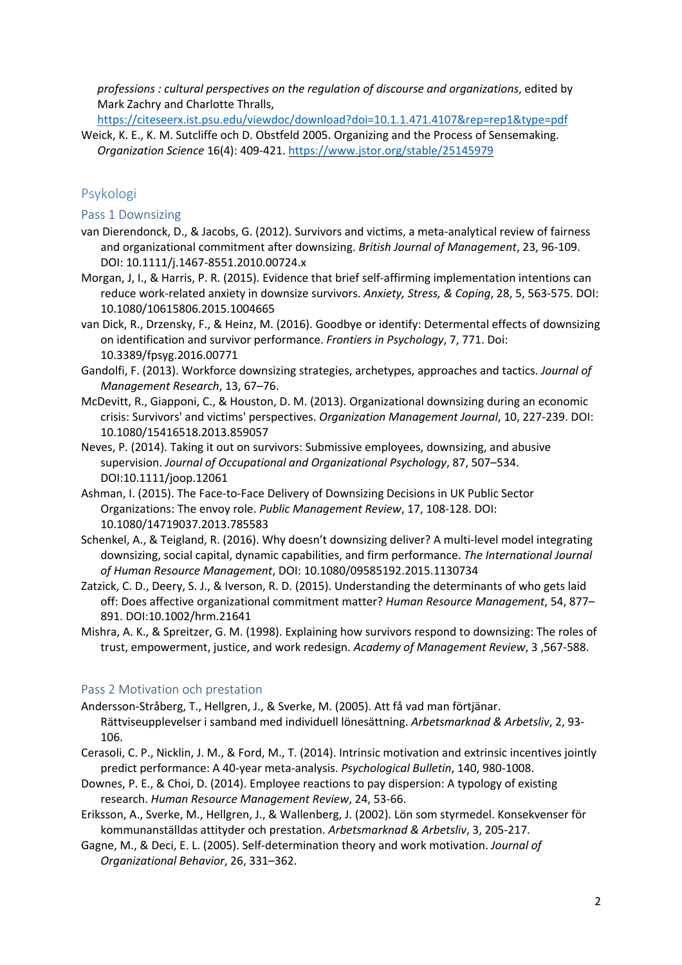*professions : cultural perspectives on the regulation of discourse and organizations*, edited by Mark Zachry and Charlotte Thralls,

https://citeseerx.ist.psu.edu/viewdoc/download?doi=10.1.1.471.4107&rep=rep1&type=pdf

Weick, K. E., K. M. Sutcliffe och D. Obstfeld 2005. Organizing and the Process of Sensemaking. *Organization Science* 16(4): 409-421. https://www.jstor.org/stable/25145979

## Psykologi

Pass 1 Downsizing

- van Dierendonck, D., & Jacobs, G. (2012). Survivors and victims, a meta-analytical review of fairness and organizational commitment after downsizing. *British Journal of Management*, 23, 96-109. DOI: 10.1111/j.1467-8551.2010.00724.x
- Morgan, J, I., & Harris, P. R. (2015). Evidence that brief self-affirming implementation intentions can reduce work-related anxiety in downsize survivors. *Anxiety, Stress, & Coping*, 28, 5, 563-575. DOI: 10.1080/10615806.2015.1004665
- van Dick, R., Drzensky, F., & Heinz, M. (2016). Goodbye or identify: Determental effects of downsizing on identification and survivor performance. *Frontiers in Psychology*, 7, 771. Doi: 10.3389/fpsyg.2016.00771
- Gandolfi, F. (2013). Workforce downsizing strategies, archetypes, approaches and tactics. *Journal of Management Research*, 13, 67–76.
- McDevitt, R., Giapponi, C., & Houston, D. M. (2013). Organizational downsizing during an economic crisis: Survivors' and victims' perspectives. *Organization Management Journal*, 10, 227-239. DOI: 10.1080/15416518.2013.859057
- Neves, P. (2014). Taking it out on survivors: Submissive employees, downsizing, and abusive supervision. *Journal of Occupational and Organizational Psychology*, 87, 507–534. DOI:10.1111/joop.12061
- Ashman, I. (2015). The Face-to-Face Delivery of Downsizing Decisions in UK Public Sector Organizations: The envoy role. *Public Management Review*, 17, 108-128. DOI: 10.1080/14719037.2013.785583
- Schenkel, A., & Teigland, R. (2016). Why doesn't downsizing deliver? A multi-level model integrating downsizing, social capital, dynamic capabilities, and firm performance. *The International Journal of Human Resource Management*, DOI: 10.1080/09585192.2015.1130734
- Zatzick, C. D., Deery, S. J., & Iverson, R. D. (2015). Understanding the determinants of who gets laid off: Does affective organizational commitment matter? *Human Resource Management*, 54, 877– 891. DOI:10.1002/hrm.21641
- Mishra, A. K., & Spreitzer, G. M. (1998). Explaining how survivors respond to downsizing: The roles of trust, empowerment, justice, and work redesign. *Academy of Management Review*, 3 ,567-588.

### Pass 2 Motivation och prestation

- Andersson-Stråberg, T., Hellgren, J., & Sverke, M. (2005). Att få vad man förtjänar. Rättviseupplevelser i samband med individuell lönesättning. *Arbetsmarknad & Arbetsliv*, 2, 93- 106.
- Cerasoli, C. P., Nicklin, J. M., & Ford, M., T. (2014). Intrinsic motivation and extrinsic incentives jointly predict performance: A 40-year meta-analysis. *Psychological Bulletin*, 140, 980-1008.
- Downes, P. E., & Choi, D. (2014). Employee reactions to pay dispersion: A typology of existing research. *Human Resource Management Review*, 24, 53-66.
- Eriksson, A., Sverke, M., Hellgren, J., & Wallenberg, J. (2002). Lön som styrmedel. Konsekvenser för kommunanställdas attityder och prestation. *Arbetsmarknad & Arbetsliv*, 3, 205-217.
- Gagne, M., & Deci, E. L. (2005). Self-determination theory and work motivation. *Journal of Organizational Behavior*, 26, 331–362.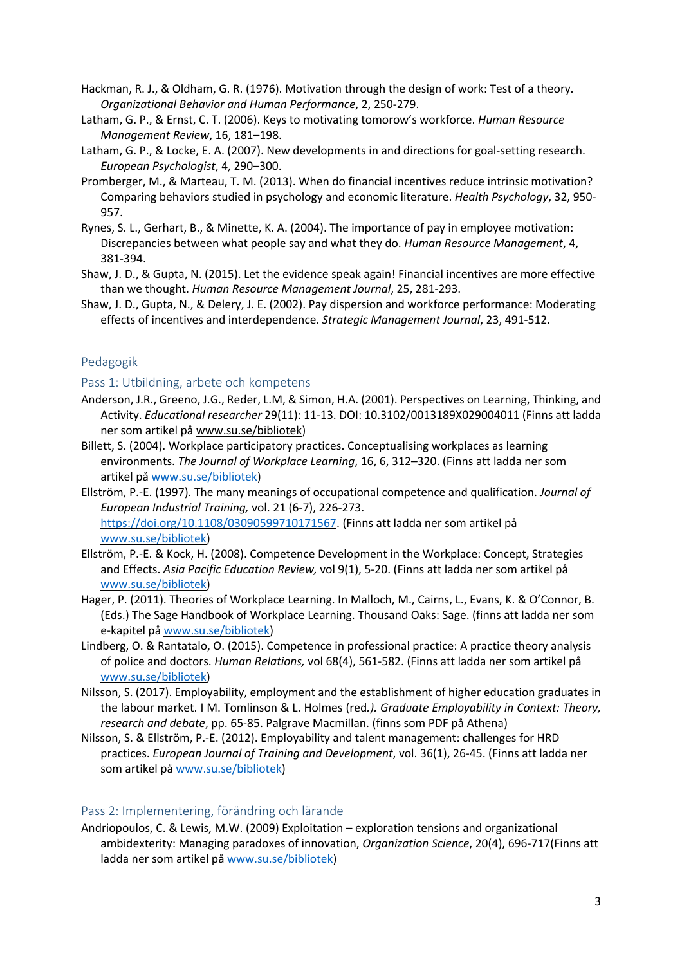- Hackman, R. J., & Oldham, G. R. (1976). Motivation through the design of work: Test of a theory. *Organizational Behavior and Human Performance*, 2, 250-279.
- Latham, G. P., & Ernst, C. T. (2006). Keys to motivating tomorow's workforce. *Human Resource Management Review*, 16, 181–198.
- Latham, G. P., & Locke, E. A. (2007). New developments in and directions for goal-setting research. *European Psychologist*, 4, 290–300.
- Promberger, M., & Marteau, T. M. (2013). When do financial incentives reduce intrinsic motivation? Comparing behaviors studied in psychology and economic literature. *Health Psychology*, 32, 950- 957.
- Rynes, S. L., Gerhart, B., & Minette, K. A. (2004). The importance of pay in employee motivation: Discrepancies between what people say and what they do. *Human Resource Management*, 4, 381-394.
- Shaw, J. D., & Gupta, N. (2015). Let the evidence speak again! Financial incentives are more effective than we thought. *Human Resource Management Journal*, 25, 281-293.
- Shaw, J. D., Gupta, N., & Delery, J. E. (2002). Pay dispersion and workforce performance: Moderating effects of incentives and interdependence. *Strategic Management Journal*, 23, 491-512.

### Pedagogik

### Pass 1: Utbildning, arbete och kompetens

- Anderson, J.R., Greeno, J.G., Reder, L.M, & Simon, H.A. (2001). Perspectives on Learning, Thinking, and Activity. *Educational researcher* 29(11): 11-13. DOI: 10.3102/0013189X029004011 (Finns att ladda ner som artikel på www.su.se/bibliotek)
- Billett, S. (2004). Workplace participatory practices. Conceptualising workplaces as learning environments. *The Journal of Workplace Learning*, 16, 6, 312–320. (Finns att ladda ner som artikel på www.su.se/bibliotek)
- Ellström, P.-E. (1997). The many meanings of occupational competence and qualification. *Journal of European Industrial Training,* vol. 21 (6-7), 226-273. https://doi.org/10.1108/03090599710171567. (Finns att ladda ner som artikel på www.su.se/bibliotek)
- Ellström, P.-E. & Kock, H. (2008). Competence Development in the Workplace: Concept, Strategies and Effects. *Asia Pacific Education Review,* vol 9(1), 5-20. (Finns att ladda ner som artikel på www.su.se/bibliotek)
- Hager, P. (2011). Theories of Workplace Learning. In Malloch, M., Cairns, L., Evans, K. & O'Connor, B. (Eds.) The Sage Handbook of Workplace Learning. Thousand Oaks: Sage. (finns att ladda ner som e-kapitel på www.su.se/bibliotek)
- Lindberg, O. & Rantatalo, O. (2015). Competence in professional practice: A practice theory analysis of police and doctors. *Human Relations,* vol 68(4), 561-582. (Finns att ladda ner som artikel på www.su.se/bibliotek)
- Nilsson, S. (2017). Employability, employment and the establishment of higher education graduates in the labour market. I M. Tomlinson & L. Holmes (red*.). Graduate Employability in Context: Theory, research and debate*, pp. 65-85. Palgrave Macmillan. (finns som PDF på Athena)
- Nilsson, S. & Ellström, P.-E. (2012). Employability and talent management: challenges for HRD practices. *European Journal of Training and Development*, vol. 36(1), 26-45. (Finns att ladda ner som artikel på www.su.se/bibliotek)

#### Pass 2: Implementering, förändring och lärande

Andriopoulos, C. & Lewis, M.W. (2009) Exploitation – exploration tensions and organizational ambidexterity: Managing paradoxes of innovation, *Organization Science*, 20(4), 696-717(Finns att ladda ner som artikel på www.su.se/bibliotek)